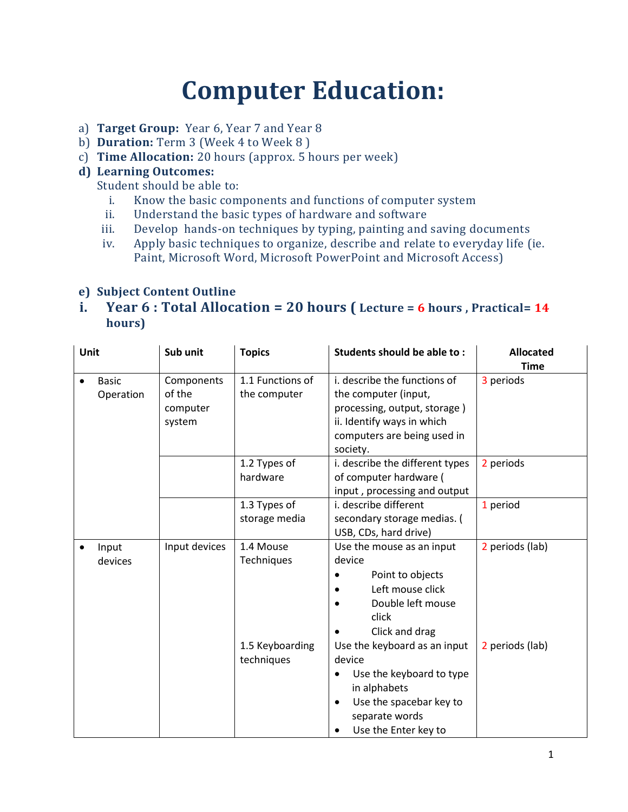# **Computer Education:**

- a) **Target Group:** Year 6, Year 7 and Year 8
- b) **Duration:** Term 3 (Week 4 to Week 8 )
- c) **Time Allocation:** 20 hours (approx. 5 hours per week)

### **d) Learning Outcomes:**

Student should be able to:

- i. Know the basic components and functions of computer system
- ii. Understand the basic types of hardware and software
- iii. Develop hands-on techniques by typing, painting and saving documents
- iv. Apply basic techniques to organize, describe and relate to everyday life (ie. Paint, Microsoft Word, Microsoft PowerPoint and Microsoft Access)

#### **e) Subject Content Outline**

## **i. Year 6 : Total Allocation = 20 hours ( Lecture = 6 hours , Practical= 14 hours)**

| Unit |                           | Sub unit                                   | <b>Topics</b>                    | Students should be able to:                                                                                                                                          | <b>Allocated</b><br><b>Time</b> |
|------|---------------------------|--------------------------------------------|----------------------------------|----------------------------------------------------------------------------------------------------------------------------------------------------------------------|---------------------------------|
|      | <b>Basic</b><br>Operation | Components<br>of the<br>computer<br>system | 1.1 Functions of<br>the computer | i. describe the functions of<br>the computer (input,<br>processing, output, storage)<br>ii. Identify ways in which<br>computers are being used in<br>society.        | 3 periods                       |
|      |                           |                                            | 1.2 Types of<br>hardware         | i. describe the different types<br>of computer hardware (<br>input, processing and output                                                                            | 2 periods                       |
|      |                           |                                            | 1.3 Types of<br>storage media    | i. describe different<br>secondary storage medias. (<br>USB, CDs, hard drive)                                                                                        | 1 period                        |
|      | Input<br>devices          | Input devices                              | 1.4 Mouse<br>Techniques          | Use the mouse as an input<br>device<br>Point to objects<br>Left mouse click<br>$\bullet$<br>Double left mouse<br>click<br>Click and drag                             | 2 periods (lab)                 |
|      |                           |                                            | 1.5 Keyboarding<br>techniques    | Use the keyboard as an input<br>device<br>Use the keyboard to type<br>in alphabets<br>Use the spacebar key to<br>separate words<br>Use the Enter key to<br>$\bullet$ | 2 periods (lab)                 |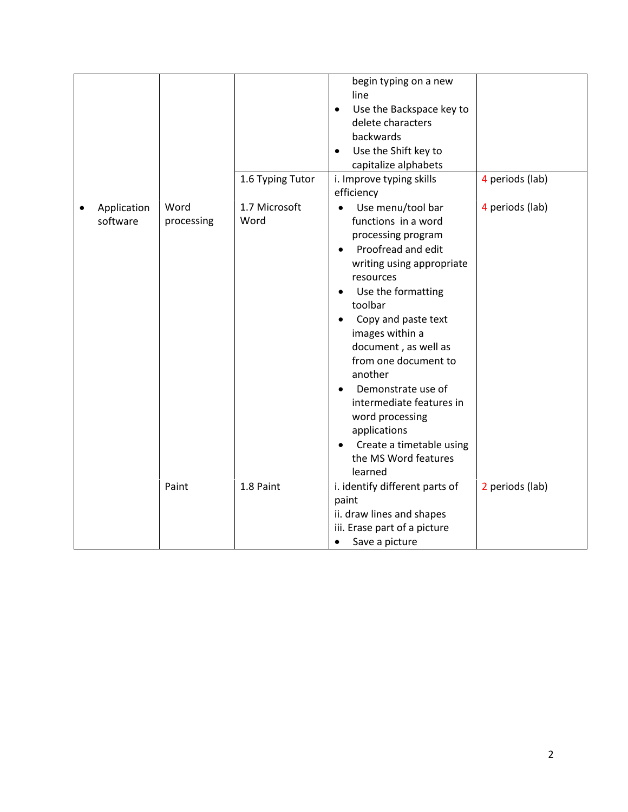|                         |                    | 1.6 Typing Tutor      | begin typing on a new<br>line<br>Use the Backspace key to<br>$\bullet$<br>delete characters<br>backwards<br>Use the Shift key to<br>$\bullet$<br>capitalize alphabets<br>i. Improve typing skills<br>efficiency                                                                                                                                                                                                                                                 | 4 periods (lab) |
|-------------------------|--------------------|-----------------------|-----------------------------------------------------------------------------------------------------------------------------------------------------------------------------------------------------------------------------------------------------------------------------------------------------------------------------------------------------------------------------------------------------------------------------------------------------------------|-----------------|
| Application<br>software | Word<br>processing | 1.7 Microsoft<br>Word | Use menu/tool bar<br>functions in a word<br>processing program<br>Proofread and edit<br>writing using appropriate<br>resources<br>Use the formatting<br>$\bullet$<br>toolbar<br>Copy and paste text<br>images within a<br>document, as well as<br>from one document to<br>another<br>Demonstrate use of<br>$\bullet$<br>intermediate features in<br>word processing<br>applications<br>Create a timetable using<br>$\bullet$<br>the MS Word features<br>learned | 4 periods (lab) |
|                         | Paint              | 1.8 Paint             | i. identify different parts of<br>paint<br>ii. draw lines and shapes<br>iii. Erase part of a picture<br>Save a picture<br>$\bullet$                                                                                                                                                                                                                                                                                                                             | 2 periods (lab) |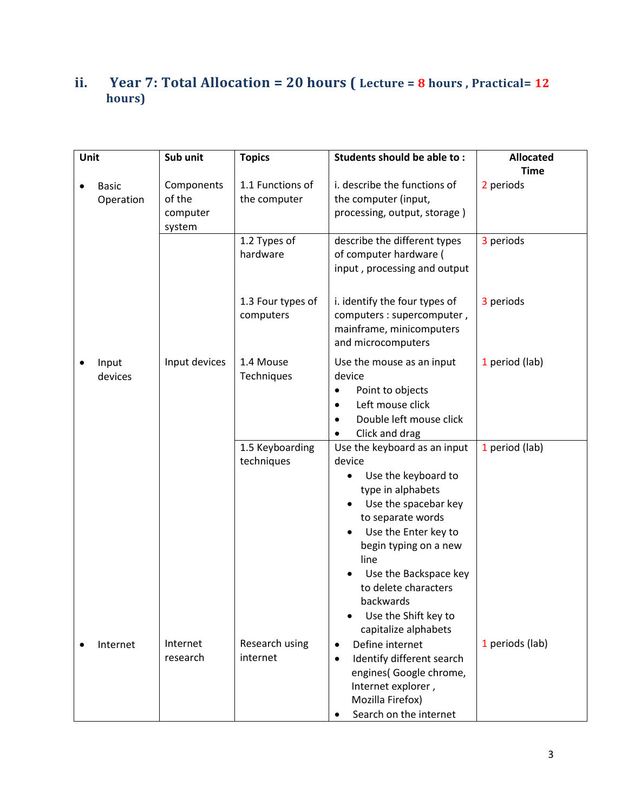# **ii. Year 7: Total Allocation = 20 hours ( Lecture = 8 hours , Practical= 12 hours)**

| Unit |                           | Sub unit                                   | <b>Topics</b>                    | Students should be able to:                                                                                                                                                                                                                                                                                                           | <b>Allocated</b><br><b>Time</b> |
|------|---------------------------|--------------------------------------------|----------------------------------|---------------------------------------------------------------------------------------------------------------------------------------------------------------------------------------------------------------------------------------------------------------------------------------------------------------------------------------|---------------------------------|
|      | <b>Basic</b><br>Operation | Components<br>of the<br>computer<br>system | 1.1 Functions of<br>the computer | i. describe the functions of<br>the computer (input,<br>processing, output, storage)                                                                                                                                                                                                                                                  | 2 periods                       |
|      |                           |                                            | 1.2 Types of<br>hardware         | describe the different types<br>of computer hardware (<br>input, processing and output                                                                                                                                                                                                                                                | 3 periods                       |
|      |                           |                                            | 1.3 Four types of<br>computers   | i. identify the four types of<br>computers : supercomputer,<br>mainframe, minicomputers<br>and microcomputers                                                                                                                                                                                                                         | 3 periods                       |
|      | Input<br>devices          | Input devices                              | 1.4 Mouse<br>Techniques          | Use the mouse as an input<br>device<br>Point to objects<br>Left mouse click<br>٠<br>Double left mouse click<br>٠<br>Click and drag                                                                                                                                                                                                    | 1 period (lab)                  |
|      |                           |                                            | 1.5 Keyboarding<br>techniques    | Use the keyboard as an input<br>device<br>Use the keyboard to<br>$\bullet$<br>type in alphabets<br>Use the spacebar key<br>to separate words<br>Use the Enter key to<br>٠<br>begin typing on a new<br>line<br>Use the Backspace key<br>to delete characters<br>backwards<br>Use the Shift key to<br>$\bullet$<br>capitalize alphabets | 1 period (lab)                  |
|      | Internet                  | Internet<br>research                       | Research using<br>internet       | Define internet<br>$\bullet$<br>Identify different search<br>$\bullet$<br>engines( Google chrome,<br>Internet explorer,<br>Mozilla Firefox)<br>Search on the internet                                                                                                                                                                 | 1 periods (lab)                 |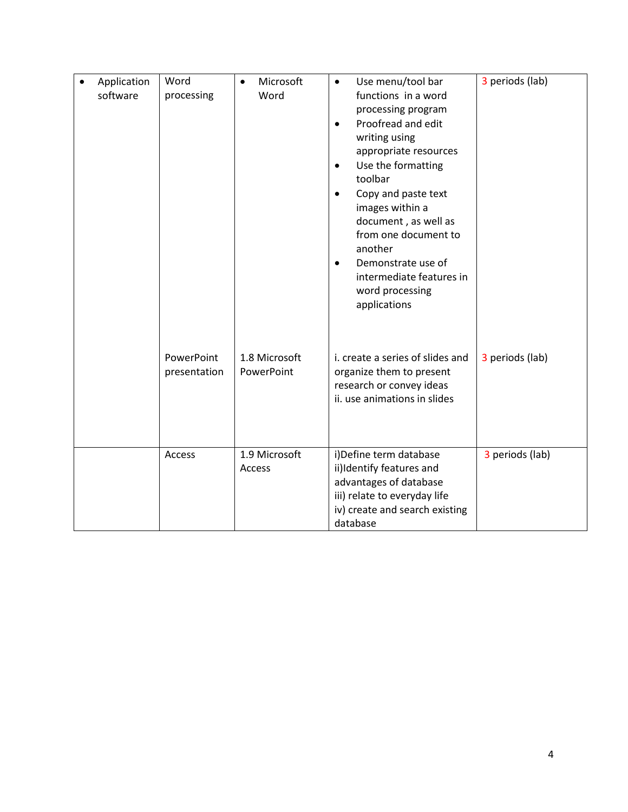| Application<br>software | Word<br>processing         | Microsoft<br>Word           | Use menu/tool bar<br>$\bullet$<br>functions in a word<br>processing program<br>Proofread and edit<br>$\bullet$<br>writing using<br>appropriate resources<br>Use the formatting<br>$\bullet$<br>toolbar<br>Copy and paste text<br>$\bullet$<br>images within a<br>document, as well as<br>from one document to<br>another<br>Demonstrate use of<br>$\bullet$<br>intermediate features in<br>word processing<br>applications | 3 periods (lab) |
|-------------------------|----------------------------|-----------------------------|----------------------------------------------------------------------------------------------------------------------------------------------------------------------------------------------------------------------------------------------------------------------------------------------------------------------------------------------------------------------------------------------------------------------------|-----------------|
|                         | PowerPoint<br>presentation | 1.8 Microsoft<br>PowerPoint | i. create a series of slides and<br>organize them to present<br>research or convey ideas<br>ii. use animations in slides                                                                                                                                                                                                                                                                                                   | 3 periods (lab) |
|                         | Access                     | 1.9 Microsoft<br>Access     | i)Define term database<br>ii)Identify features and<br>advantages of database<br>iii) relate to everyday life<br>iv) create and search existing<br>database                                                                                                                                                                                                                                                                 | 3 periods (lab) |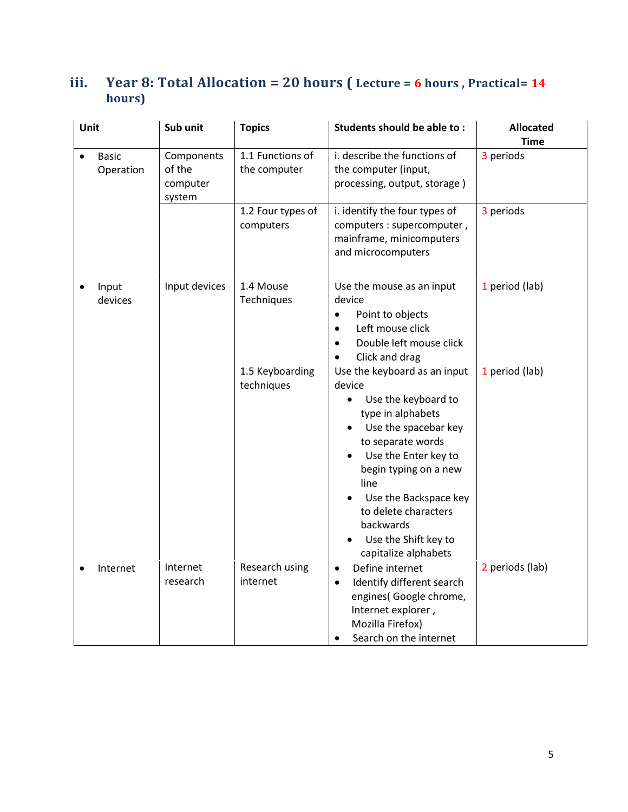# **iii. Year 8: Total Allocation = 20 hours ( Lecture = 6 hours , Practical= 14 hours)**

| Unit |                           | Sub unit                                   | <b>Topics</b>                    | Students should be able to:                                                                                                                                                                                                                                                                                                                   | <b>Allocated</b> |
|------|---------------------------|--------------------------------------------|----------------------------------|-----------------------------------------------------------------------------------------------------------------------------------------------------------------------------------------------------------------------------------------------------------------------------------------------------------------------------------------------|------------------|
|      |                           |                                            |                                  |                                                                                                                                                                                                                                                                                                                                               | <b>Time</b>      |
|      | <b>Basic</b><br>Operation | Components<br>of the<br>computer<br>system | 1.1 Functions of<br>the computer | i. describe the functions of<br>the computer (input,<br>processing, output, storage)                                                                                                                                                                                                                                                          | 3 periods        |
|      |                           |                                            | 1.2 Four types of<br>computers   | i. identify the four types of<br>computers : supercomputer,<br>mainframe, minicomputers<br>and microcomputers                                                                                                                                                                                                                                 | 3 periods        |
|      | Input<br>devices          | Input devices                              | 1.4 Mouse<br>Techniques          | Use the mouse as an input<br>device<br>Point to objects<br>$\bullet$<br>Left mouse click<br>$\bullet$<br>Double left mouse click<br>$\bullet$<br>Click and drag<br>$\bullet$                                                                                                                                                                  | 1 period (lab)   |
|      |                           |                                            | 1.5 Keyboarding<br>techniques    | Use the keyboard as an input<br>device<br>Use the keyboard to<br>$\bullet$<br>type in alphabets<br>Use the spacebar key<br>$\bullet$<br>to separate words<br>Use the Enter key to<br>$\bullet$<br>begin typing on a new<br>line<br>Use the Backspace key<br>to delete characters<br>backwards<br>Use the Shift key to<br>capitalize alphabets | 1 period (lab)   |
|      | Internet                  | Internet<br>research                       | Research using<br>internet       | Define internet<br>$\bullet$<br>Identify different search<br>$\bullet$<br>engines( Google chrome,<br>Internet explorer,<br>Mozilla Firefox)<br>Search on the internet<br>$\bullet$                                                                                                                                                            | 2 periods (lab)  |